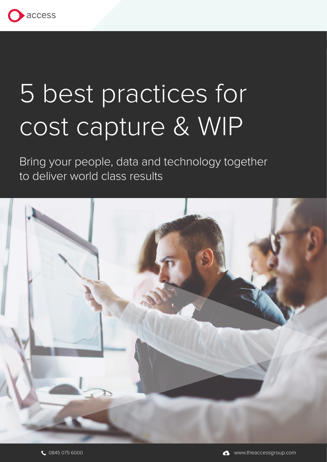

# 5 best practices for cost capture & WIP

Bring your people, data and technology together to deliver world class results

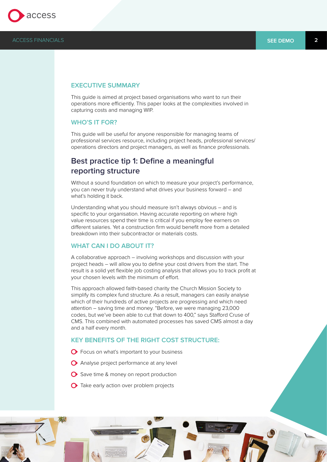

## **EXECUTIVE SUMMARY**

This guide is aimed at project based organisations who want to run their operations more efficiently. This paper looks at the complexities involved in capturing costs and managing WIP.

## **WHO'S IT FOR?**

This guide will be useful for anyone responsible for managing teams of professional services resource, including project heads, professional services/ operations directors and project managers, as well as finance professionals.

# **Best practice tip 1: Define a meaningful reporting structure**

Without a sound foundation on which to measure your project's performance, you can never truly understand what drives your business forward – and what's holding it back.

Understanding what you should measure isn't always obvious – and is specific to your organisation. Having accurate reporting on where high value resources spend their time is critical if you employ fee earners on different salaries. Yet a construction firm would benefit more from a detailed breakdown into their subcontractor or materials costs.

## **WHAT CAN I DO ABOUT IT?**

A collaborative approach – involving workshops and discussion with your project heads – will allow you to define your cost drivers from the start. The result is a solid yet flexible job costing analysis that allows you to track profit at your chosen levels with the minimum of effort.

This approach allowed faith-based charity the Church Mission Society to simplify its complex fund structure. As a result, managers can easily analyse which of their hundreds of active projects are progressing and which need attention – saving time and money. "Before, we were managing 23,000 codes, but we've been able to cut that down to 400," says Stafford Cruse of CMS. This combined with automated processes has saved CMS almost a day and a half every month.

## **KEY BENEFITS OF THE RIGHT COST STRUCTURE:**

- **O** Focus on what's important to your business
- Analyse project performance at any level
- Save time & money on report production
- $\bullet$  Take early action over problem projects

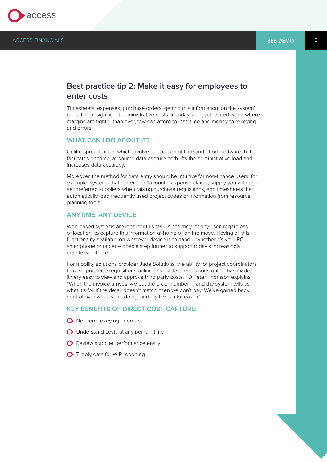

## **Best practice tip 2: Make it easy for employees to enter costs**

Timesheets, expenses, purchase orders: getting this information 'on the system' can all incur significant administrative costs. In today's project related world where margins are tighter than ever, few can afford to lose time and money to rekeying and errors.

## **WHAT CAN I DO ABOUT IT?**

Unlike spreadsheets which involve duplication of time and effort, software that facilitates onetime, at-source data capture both lifts the administrative load and increases data accuracy.

Moreover, the method for data entry should be intuitive for non-finance users: for example, systems that remember 'favourite' expense claims; supply you with preset preferred suppliers when raising purchase requisitions, and timesheets that automatically load frequently used project codes or information from resource planning tools.

## **ANYTIME, ANY DEVICE**

Web-based systems are ideal for this task, since they let any user, regardless of location, to capture this information at home or on the move. Having all this functionality available on whatever device is to hand – whether it's your PC, smartphone or tablet – goes a step further to support today's increasingly mobile workforce.

For mobility solutions provider Jade Solutions, the ability for project coordinators to raise purchase requisitions online has made it requisitions online has made it very easy to view and approve third party costs. FD Peter Thomson explains, "When the invoice arrives, we put the order number in and the system tells us what it's for. If the detail doesn't match, then we don't pay. We've gained back control over what we're doing, and my life is a lot easier."

## **KEY BENEFITS OF DIRECT COST CAPTURE:**

- $\bullet$  No more rekeying or errors
- **O** Understand costs at any point in time
- **O** Review supplier performance easily
- Timely data for WIP reporting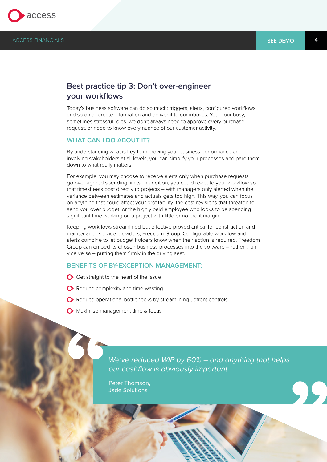

## **Best practice tip 3: Don't over-engineer your workflows**

Today's business software can do so much: triggers, alerts, configured workflows and so on all create information and deliver it to our inboxes. Yet in our busy, sometimes stressful roles, we don't always need to approve every purchase request, or need to know every nuance of our customer activity.

## **WHAT CAN I DO ABOUT IT?**

By understanding what is key to improving your business performance and involving stakeholders at all levels, you can simplify your processes and pare them down to what really matters.

For example, you may choose to receive alerts only when purchase requests go over agreed spending limits. In addition, you could re-route your workflow so that timesheets post directly to projects – with managers only alerted when the variance between estimates and actuals gets too high. This way, you can focus on anything that could affect your profitability: the cost revisions that threaten to send you over budget, or the highly paid employee who looks to be spending significant time working on a project with little or no profit margin.

Keeping workflows streamlined but effective proved critical for construction and maintenance service providers, Freedom Group. Configurable workflow and alerts combine to let budget holders know when their action is required. Freedom Group can embed its chosen business processes into the software – rather than vice versa – putting them firmly in the driving seat.

#### **BENEFITS OF BY-EXCEPTION MANAGEMENT:**

- $\bigcirc$  Get straight to the heart of the issue
- **O** Reduce complexity and time-wasting
- ◆ Reduce operational bottlenecks by streamlining upfront controls
- Maximise management time & focus

We've reduced WIP by 60% – and anything that helps our cashflow is obviously important.

Peter Thomson, Jade Solutions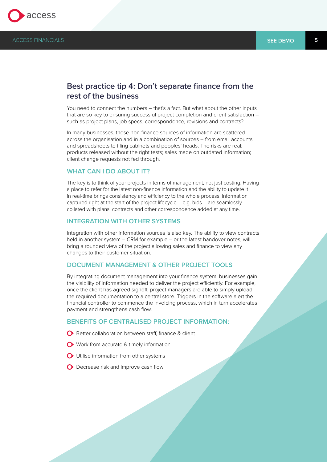

## **Best practice tip 4: Don't separate finance from the rest of the business**

You need to connect the numbers – that's a fact. But what about the other inputs that are so key to ensuring successful project completion and client satisfaction – such as project plans, job specs, correspondence, revisions and contracts?

In many businesses, these non-finance sources of information are scattered across the organisation and in a combination of sources – from email accounts and spreadsheets to filing cabinets and peoples' heads. The risks are real: products released without the right tests; sales made on outdated information; client change requests not fed through.

## **WHAT CAN I DO ABOUT IT?**

The key is to think of your projects in terms of management, not just costing. Having a place to refer for the latest non-finance information and the ability to update it in real-time brings consistency and efficiency to the whole process. Information captured right at the start of the project lifecycle – e.g. bids – are seamlessly collated with plans, contracts and other correspondence added at any time.

## **INTEGRATION WITH OTHER SYSTEMS**

Integration with other information sources is also key. The ability to view contracts held in another system – CRM for example – or the latest handover notes, will bring a rounded view of the project allowing sales and finance to view any changes to their customer situation.

## **DOCUMENT MANAGEMENT & OTHER PROJECT TOOLS**

By integrating document management into your finance system, businesses gain the visibility of information needed to deliver the project efficiently. For example, once the client has agreed signoff, project managers are able to simply upload the required documentation to a central store. Triggers in the software alert the financial controller to commence the invoicing process, which in turn accelerates payment and strengthens cash flow.

## **BENEFITS OF CENTRALISED PROJECT INFORMATION:**

- **O** Better collaboration between staff, finance & client
- Work from accurate & timely information
- **O** Utilise information from other systems
- **O** Decrease risk and improve cash flow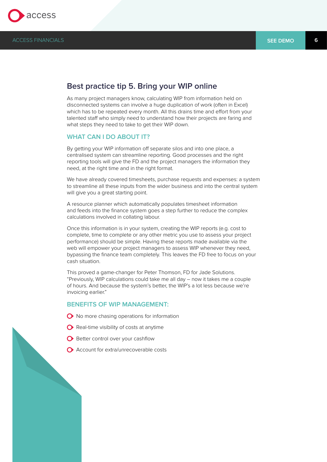

## **Best practice tip 5. Bring your WIP online**

As many project managers know, calculating WIP from information held on disconnected systems can involve a huge duplication of work (often in Excel) which has to be repeated every month. All this drains time and effort from your talented staff who simply need to understand how their projects are faring and what steps they need to take to get their WIP down.

## **WHAT CAN I DO ABOUT IT?**

By getting your WIP information off separate silos and into one place, a centralised system can streamline reporting. Good processes and the right reporting tools will give the FD and the project managers the information they need, at the right time and in the right format.

We have already covered timesheets, purchase requests and expenses: a system to streamline all these inputs from the wider business and into the central system will give you a great starting point.

A resource planner which automatically populates timesheet information and feeds into the finance system goes a step further to reduce the complex calculations involved in collating labour.

Once this information is in your system, creating the WIP reports (e.g. cost to complete, time to complete or any other metric you use to assess your project performance) should be simple. Having these reports made available via the web will empower your project managers to assess WIP whenever they need, bypassing the finance team completely. This leaves the FD free to focus on your cash situation.

This proved a game-changer for Peter Thomson, FD for Jade Solutions. "Previously, WIP calculations could take me all day – now it takes me a couple of hours. And because the system's better, the WIP's a lot less because we're invoicing earlier."

## **BENEFITS OF WIP MANAGEMENT:**

- **◆** No more chasing operations for information
- $\bullet$  Real-time visibility of costs at anytime
- **O** Better control over your cashflow
- **◆** Account for extra/unrecoverable costs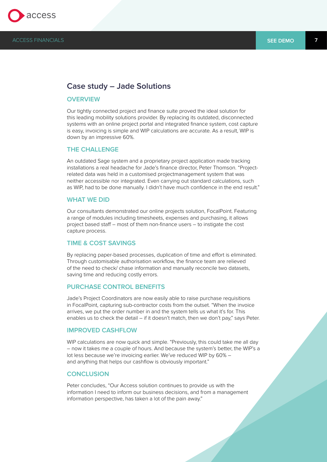

## **Case study – Jade Solutions**

## **OVERVIEW**

Our tightly connected project and finance suite proved the ideal solution for this leading mobility solutions provider. By replacing its outdated, disconnected systems with an online project portal and integrated finance system, cost capture is easy, invoicing is simple and WIP calculations are accurate. As a result, WIP is down by an impressive 60%.

#### **THE CHALLENGE**

An outdated Sage system and a proprietary project application made tracking installations a real headache for Jade's finance director, Peter Thomson. "Projectrelated data was held in a customised projectmanagement system that was neither accessible nor integrated. Even carrying out standard calculations, such as WIP, had to be done manually. I didn't have much confidence in the end result."

#### **WHAT WE DID**

Our consultants demonstrated our online projects solution, FocalPoint. Featuring a range of modules including timesheets, expenses and purchasing, it allows project based staff – most of them non-finance users – to instigate the cost capture process.

#### **TIME & COST SAVINGS**

By replacing paper-based processes, duplication of time and effort is eliminated. Through customisable authorisation workflow, the finance team are relieved of the need to check/ chase information and manually reconcile two datasets, saving time and reducing costly errors.

## **PURCHASE CONTROL BENEFITS**

Jade's Project Coordinators are now easily able to raise purchase requisitions in FocalPoint, capturing sub-contractor costs from the outset. "When the invoice arrives, we put the order number in and the system tells us what it's for. This enables us to check the detail – if it doesn't match, then we don't pay," says Peter.

## **IMPROVED CASHFLOW**

WIP calculations are now quick and simple. "Previously, this could take me all day – now it takes me a couple of hours. And because the system's better, the WIP's a lot less because we're invoicing earlier. We've reduced WIP by 60% – and anything that helps our cashflow is obviously important."

## **CONCLUSION**

Peter concludes, "Our Access solution continues to provide us with the information I need to inform our business decisions, and from a management information perspective, has taken a lot of the pain away."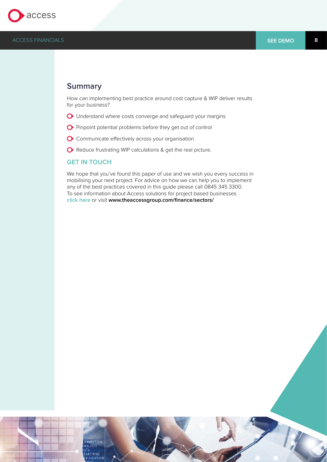

## **Summary**

How can implementing best practice around cost capture & WIP deliver results for your business?

- Understand where costs converge and safeguard your margins
- Pinpoint potential problems before they get out of control
- Communicate effectively across your organisation
- Reduce frustrating WIP calculations & get the real picture.

## **GET IN TOUCH**

We hope that you've found this paper of use and we wish you every success in mobilising your next project. For advice on how we can help you to implement any of the best practices covered in this guide please call 0845 345 3300. To see information about Access solutions for project based businesses **[click here](http://www.theaccessgroup.com/finance/sectors/)** or visit **www.theaccessgroup.com/finance/sectors/**